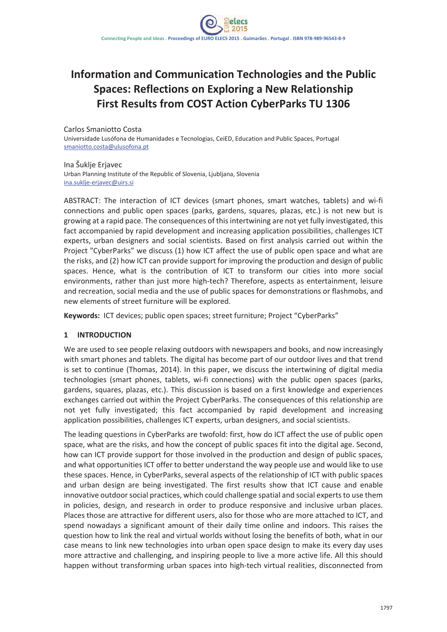# **Information and Communication Technologies and the Public Spaces: Reflections on Exploring a New Relationship First Results from COST Action CyberParks TU 1306**

Carlos Smaniotto Costa Universidade Lusófona de Humanidades e Tecnologias, CeiED, Education and Public Spaces, Portugal smaniotto.costa@ulusofona.pt

Ina Šuklje Erjavec Urban Planning Institute of the Republic of Slovenia, Ljubljana, Slovenia ina.suklje-erjavec@uirs.si

ABSTRACT: The interaction of ICT devices (smart phones, smart watches, tablets) and wi-fi connections and public open spaces (parks, gardens, squares, plazas, etc.) is not new but is growing at a rapid pace. The consequences of thisintertwining are not yet fully investigated, this fact accompanied by rapid development and increasing application possibilities, challenges ICT experts, urban designers and social scientists. Based on first analysis carried out within the Project "CyberParks" we discuss (1) how ICT affect the use of public open space and what are the risks, and (2) how ICT can provide support for improving the production and design of public spaces. Hence, what is the contribution of ICT to transform our cities into more social environments, rather than just more high-tech? Therefore, aspects as entertainment, leisure and recreation, social media and the use of public spaces for demonstrations or flashmobs, and new elements of street furniture will be explored.

**Keywords:** ICT devices; public open spaces; street furniture; Project "CyberParks"

#### **1 INTRODUCTION**

We are used to see people relaxing outdoors with newspapers and books, and now increasingly with smart phones and tablets. The digital has become part of our outdoor lives and that trend is set to continue (Thomas, 2014). In this paper, we discuss the intertwining of digital media technologies (smart phones, tablets, wi-fi connections) with the public open spaces (parks, gardens, squares, plazas, etc.). This discussion is based on a first knowledge and experiences exchanges carried out within the Project CyberParks. The consequences of this relationship are not yet fully investigated; this fact accompanied by rapid development and increasing application possibilities, challenges ICT experts, urban designers, and social scientists.

The leading questions in CyberParks are twofold: first, how do ICT affect the use of public open space, what are the risks, and how the concept of public spaces fit into the digital age. Second, how can ICT provide support for those involved in the production and design of public spaces, and what opportunities ICT offer to better understand the way people use and would like to use these spaces. Hence, in CyberParks, several aspects of the relationship of ICT with public spaces and urban design are being investigated. The first results show that ICT cause and enable innovative outdoor social practices, which could challenge spatial and social experts to use them in policies, design, and research in order to produce responsive and inclusive urban places. Places those are attractive for different users, also for those who are more attached to ICT, and spend nowadays a significant amount of their daily time online and indoors. This raises the question how to link the real and virtual worlds without losing the benefits of both, what in our case means to link new technologies into urban open space design to make its every day uses more attractive and challenging, and inspiring people to live a more active life. All this should happen without transforming urban spaces into high-tech virtual realities, disconnected from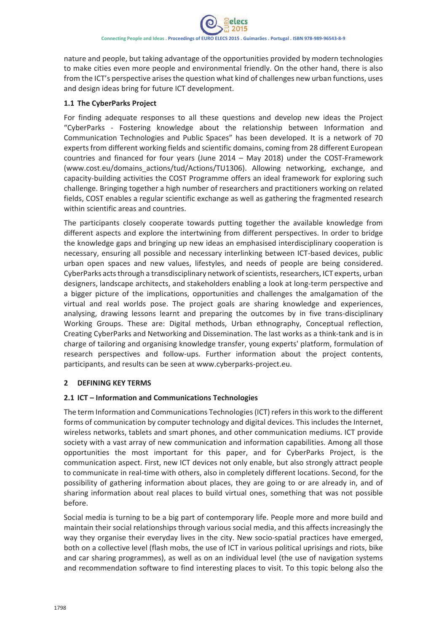nature and people, but taking advantage of the opportunities provided by modern technologies to make cities even more people and environmental friendly. On the other hand, there is also from the ICT's perspective arises the question what kind of challenges new urban functions, uses and design ideas bring for future ICT development.

#### **1.1 The CyberParks Project**

For finding adequate responses to all these questions and develop new ideas the Project "CyberParks - Fostering knowledge about the relationship between Information and Communication Technologies and Public Spaces" has been developed. It is a network of 70 experts from different working fields and scientific domains, coming from 28 different European countries and financed for four years (June 2014 – May 2018) under the COST-Framework (www.cost.eu/domains\_actions/tud/Actions/TU1306). Allowing networking, exchange, and capacity-building activities the COST Programme offers an ideal framework for exploring such challenge. Bringing together a high number of researchers and practitioners working on related fields, COST enables a regular scientific exchange as well as gathering the fragmented research within scientific areas and countries.

The participants closely cooperate towards putting together the available knowledge from different aspects and explore the intertwining from different perspectives. In order to bridge the knowledge gaps and bringing up new ideas an emphasised interdisciplinary cooperation is necessary, ensuring all possible and necessary interlinking between ICT-based devices, public urban open spaces and new values, lifestyles, and needs of people are being considered. CyberParks acts through a transdisciplinary network of scientists, researchers, ICT experts, urban designers, landscape architects, and stakeholders enabling a look at long-term perspective and a bigger picture of the implications, opportunities and challenges the amalgamation of the virtual and real worlds pose. The project goals are sharing knowledge and experiences, analysing, drawing lessons learnt and preparing the outcomes by in five trans-disciplinary Working Groups. These are: Digital methods, Urban ethnography, Conceptual reflection, Creating CyberParks and Networking and Dissemination. The last works as a think-tank and is in charge of tailoring and organising knowledge transfer, young experts' platform, formulation of research perspectives and follow-ups. Further information about the project contents, participants, and results can be seen at www.cyberparks-project.eu.

#### **2 DEFINING KEY TERMS**

## **2.1 ICT – Information and Communications Technologies**

The term Information and Communications Technologies (ICT) refers in this work to the different forms of communication by computer technology and digital devices. This includes the Internet, wireless networks, tablets and smart phones, and other communication mediums. ICT provide society with a vast array of new communication and information capabilities. Among all those opportunities the most important for this paper, and for CyberParks Project, is the communication aspect. First, new ICT devices not only enable, but also strongly attract people to communicate in real-time with others, also in completely different locations. Second, for the possibility of gathering information about places, they are going to or are already in, and of sharing information about real places to build virtual ones, something that was not possible before.

Social media is turning to be a big part of contemporary life. People more and more build and maintain their social relationships through various social media, and this affects increasingly the way they organise their everyday lives in the city. New socio-spatial practices have emerged, both on a collective level (flash mobs, the use of ICT in various political uprisings and riots, bike and car sharing programmes), as well as on an individual level (the use of navigation systems and recommendation software to find interesting places to visit. To this topic belong also the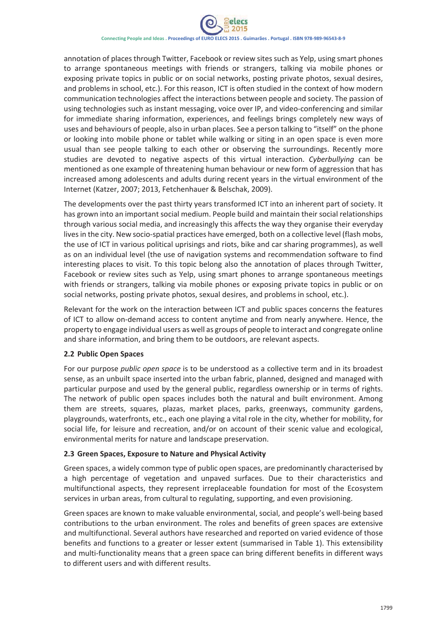

annotation of places through Twitter, Facebook or review sites such as Yelp, using smart phones to arrange spontaneous meetings with friends or strangers, talking via mobile phones or exposing private topics in public or on social networks, posting private photos, sexual desires, and problems in school, etc.). For this reason, ICT is often studied in the context of how modern communication technologies affect the interactions between people and society. The passion of using technologies such as instant messaging, voice over IP, and video-conferencing and similar for immediate sharing information, experiences, and feelings brings completely new ways of uses and behaviours of people, also in urban places. See a person talking to "itself" on the phone or looking into mobile phone or tablet while walking or siting in an open space is even more usual than see people talking to each other or observing the surroundings. Recently more studies are devoted to negative aspects of this virtual interaction. *Cyberbullying* can be mentioned as one example of threatening human behaviour or new form of aggression that has increased among adolescents and adults during recent years in the virtual environment of the Internet (Katzer, 2007; 2013, Fetchenhauer & Belschak, 2009).

The developments over the past thirty years transformed ICT into an inherent part of society. It has grown into an important social medium. People build and maintain their social relationships through various social media, and increasingly this affects the way they organise their everyday lives in the city. New socio-spatial practices have emerged, both on a collective level (flash mobs, the use of ICT in various political uprisings and riots, bike and car sharing programmes), as well as on an individual level (the use of navigation systems and recommendation software to find interesting places to visit. To this topic belong also the annotation of places through Twitter, Facebook or review sites such as Yelp, using smart phones to arrange spontaneous meetings with friends or strangers, talking via mobile phones or exposing private topics in public or on social networks, posting private photos, sexual desires, and problems in school, etc.).

Relevant for the work on the interaction between ICT and public spaces concerns the features of ICT to allow on-demand access to content anytime and from nearly anywhere. Hence, the property to engage individual users as well as groups of people to interact and congregate online and share information, and bring them to be outdoors, are relevant aspects.

#### **2.2 Public Open Spaces**

For our purpose *public open space* is to be understood as a collective term and in its broadest sense, as an unbuilt space inserted into the urban fabric, planned, designed and managed with particular purpose and used by the general public, regardless ownership or in terms of rights. The network of public open spaces includes both the natural and built environment. Among them are streets, squares, plazas, market places, parks, greenways, community gardens, playgrounds, waterfronts, etc., each one playing a vital role in the city, whether for mobility, for social life, for leisure and recreation, and/or on account of their scenic value and ecological, environmental merits for nature and landscape preservation.

#### **2.3 Green Spaces, Exposure to Nature and Physical Activity**

Green spaces, a widely common type of public open spaces, are predominantly characterised by a high percentage of vegetation and unpaved surfaces. Due to their characteristics and multifunctional aspects, they represent irreplaceable foundation for most of the Ecosystem services in urban areas, from cultural to regulating, supporting, and even provisioning.

Green spaces are known to make valuable environmental, social, and people's well-being based contributions to the urban environment. The roles and benefits of green spaces are extensive and multifunctional. Several authors have researched and reported on varied evidence of those benefits and functions to a greater or lesser extent (summarised in Table 1). This extensibility and multi-functionality means that a green space can bring different benefits in different ways to different users and with different results.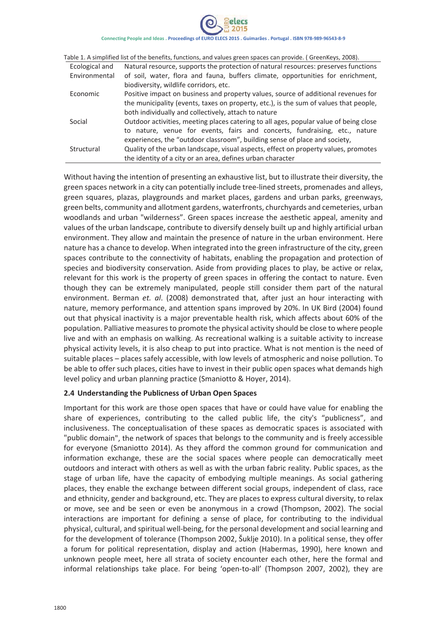# Connecting People and Ideas . Proceedings of EURO ELECS 2015 . Guimarães . Portugal . ISBN 978-989-96543-8-9

| Table 1. A simplified list of the benefits, functions, and values green spaces can provide. (GreenKeys, 2008). |                                                                                       |
|----------------------------------------------------------------------------------------------------------------|---------------------------------------------------------------------------------------|
| Ecological and                                                                                                 | Natural resource, supports the protection of natural resources: preserves functions   |
| Environmental                                                                                                  | of soil, water, flora and fauna, buffers climate, opportunities for enrichment,       |
|                                                                                                                | biodiversity, wildlife corridors, etc.                                                |
| Economic                                                                                                       | Positive impact on business and property values, source of additional revenues for    |
|                                                                                                                | the municipality (events, taxes on property, etc.), is the sum of values that people, |
| Social                                                                                                         | both individually and collectively, attach to nature                                  |
|                                                                                                                | Outdoor activities, meeting places catering to all ages, popular value of being close |
|                                                                                                                | to nature, venue for events, fairs and concerts, fundraising, etc., nature            |
| Structural                                                                                                     | experiences, the "outdoor classroom", building sense of place and society,            |
|                                                                                                                | Quality of the urban landscape, visual aspects, effect on property values, promotes   |
|                                                                                                                | the identity of a city or an area, defines urban character                            |

Without having the intention of presenting an exhaustive list, but to illustrate their diversity, the green spaces network in a city can potentially include tree-lined streets, promenades and alleys, green squares, plazas, playgrounds and market places, gardens and urban parks, greenways, green belts, community and allotment gardens, waterfronts, churchyards and cemeteries, urban woodlands and urban "wilderness". Green spaces increase the aesthetic appeal, amenity and values of the urban landscape, contribute to diversify densely built up and highly artificial urban environment. They allow and maintain the presence of nature in the urban environment. Here nature has a chance to develop. When integrated into the green infrastructure of the city, green spaces contribute to the connectivity of habitats, enabling the propagation and protection of species and biodiversity conservation. Aside from providing places to play, be active or relax, relevant for this work is the property of green spaces in offering the contact to nature. Even though they can be extremely manipulated, people still consider them part of the natural environment. Berman *et. al*. (2008) demonstrated that, after just an hour interacting with nature, memory performance, and attention spans improved by 20%. In UK Bird (2004) found out that physical inactivity is a major preventable health risk, which affects about 60% of the population. Palliative measuresto promote the physical activity should be close to where people live and with an emphasis on walking. As recreational walking is a suitable activity to increase physical activity levels, it is also cheap to put into practice. What is not mention is the need of suitable places – places safely accessible, with low levels of atmospheric and noise pollution. To be able to offer such places, cities have to invest in their public open spaces what demands high level policy and urban planning practice (Smaniotto & Hoyer, 2014).

#### **2.4 Understanding the Publicness of Urban Open Spaces**

Important for this work are those open spaces that have or could have value for enabling the share of experiences, contributing to the called public life, the city's "publicness", and inclusiveness. The conceptualisation of these spaces as democratic spaces is associated with "public domain", the network of spaces that belongs to the community and is freely accessible for everyone (Smaniotto 2014). As they afford the common ground for communication and information exchange, these are the social spaces where people can democratically meet outdoors and interact with others as well as with the urban fabric reality. Public spaces, as the stage of urban life, have the capacity of embodying multiple meanings. As social gathering places, they enable the exchange between different social groups, independent of class, race and ethnicity, gender and background, etc. They are places to express cultural diversity, to relax or move, see and be seen or even be anonymous in a crowd (Thompson, 2002). The social interactions are important for defining a sense of place, for contributing to the individual physical, cultural, and spiritual well-being, for the personal development and social learning and for the development of tolerance (Thompson 2002, Šuklje 2010). In a political sense, they offer a forum for political representation, display and action (Habermas, 1990), here known and unknown people meet, here all strata of society encounter each other, here the formal and informal relationships take place. For being 'open-to-all' (Thompson 2007, 2002), they are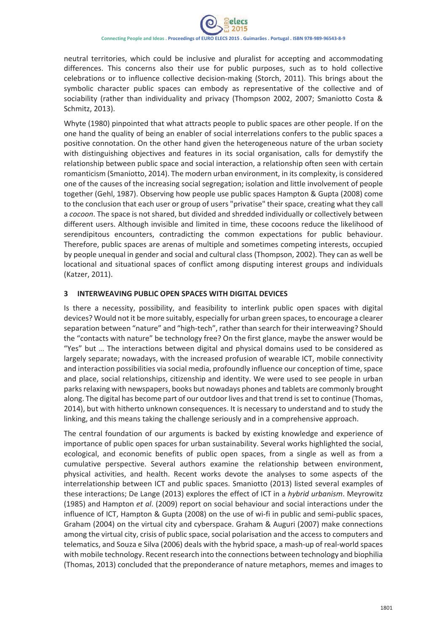neutral territories, which could be inclusive and pluralist for accepting and accommodating differences. This concerns also their use for public purposes, such as to hold collective celebrations or to influence collective decision-making (Storch, 2011). This brings about the symbolic character public spaces can embody as representative of the collective and of sociability (rather than individuality and privacy (Thompson 2002, 2007; Smaniotto Costa & Schmitz, 2013).

Whyte (1980) pinpointed that what attracts people to public spaces are other people. If on the one hand the quality of being an enabler of social interrelations confers to the public spaces a positive connotation. On the other hand given the heterogeneous nature of the urban society with distinguishing objectives and features in its social organisation, calls for demystify the relationship between public space and social interaction, a relationship often seen with certain romanticism (Smaniotto, 2014). The modern urban environment, in its complexity, is considered one of the causes of the increasing social segregation; isolation and little involvement of people together (Gehl, 1987). Observing how people use public spaces Hampton & Gupta (2008) come to the conclusion that each user or group of users "privatise" their space, creating what they call a *cocoon*. The space is not shared, but divided and shredded individually or collectively between different users. Although invisible and limited in time, these cocoons reduce the likelihood of serendipitous encounters, contradicting the common expectations for public behaviour. Therefore, public spaces are arenas of multiple and sometimes competing interests, occupied by people unequal in gender and social and cultural class (Thompson, 2002). They can as well be locational and situational spaces of conflict among disputing interest groups and individuals (Katzer, 2011).

#### **3 INTERWEAVING PUBLIC OPEN SPACES WITH DIGITAL DEVICES**

Is there a necessity, possibility, and feasibility to interlink public open spaces with digital devices? Would not it be more suitably, especially for urban green spaces, to encourage a clearer separation between "nature" and "high-tech", rather than search for their interweaving? Should the "contacts with nature" be technology free? On the first glance, maybe the answer would be "Yes" but … The interactions between digital and physical domains used to be considered as largely separate; nowadays, with the increased profusion of wearable ICT, mobile connectivity and interaction possibilities via social media, profoundly influence our conception of time, space and place, social relationships, citizenship and identity. We were used to see people in urban parks relaxing with newspapers, books but nowadays phones and tablets are commonly brought along. The digital has become part of our outdoor lives and that trend isset to continue (Thomas, 2014), but with hitherto unknown consequences. It is necessary to understand and to study the linking, and this means taking the challenge seriously and in a comprehensive approach.

The central foundation of our arguments is backed by existing knowledge and experience of importance of public open spaces for urban sustainability. Several works highlighted the social, ecological, and economic benefits of public open spaces, from a single as well as from a cumulative perspective. Several authors examine the relationship between environment, physical activities, and health. Recent works devote the analyses to some aspects of the interrelationship between ICT and public spaces. Smaniotto (2013) listed several examples of these interactions; De Lange (2013) explores the effect of ICT in a *hybrid urbanism*. Meyrowitz (1985) and Hampton *et al*. (2009) report on social behaviour and social interactions under the influence of ICT, Hampton & Gupta (2008) on the use of wi-fi in public and semi-public spaces. Graham (2004) on the virtual city and cyberspace. Graham & Auguri (2007) make connections among the virtual city, crisis of public space, social polarisation and the access to computers and telematics, and Souza e Silva (2006) deals with the hybrid space, a mash-up of real-world spaces with mobile technology. Recent research into the connections between technology and biophilia (Thomas, 2013) concluded that the preponderance of nature metaphors, memes and images to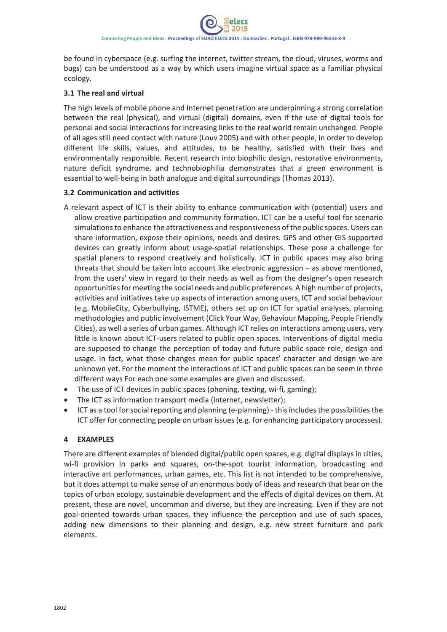be found in cyberspace (e.g. surfing the internet, twitter stream, the cloud, viruses, worms and bugs) can be understood as a way by which users imagine virtual space as a familiar physical ecology.

#### **3.1 The real and virtual**

The high levels of mobile phone and Internet penetration are underpinning a strong correlation between the real (physical), and virtual (digital) domains, even if the use of digital tools for personal and social interactions for increasing links to the real world remain unchanged. People of all ages still need contact with nature (Louv 2005) and with other people, in order to develop different life skills, values, and attitudes, to be healthy, satisfied with their lives and environmentally responsible. Recent research into biophilic design, restorative environments, nature deficit syndrome, and technobiophilia demonstrates that a green environment is essential to well-being in both analogue and digital surroundings (Thomas 2013).

#### **3.2 Communication and activities**

- A relevant aspect of ICT is their ability to enhance communication with (potential) users and allow creative participation and community formation. ICT can be a useful tool for scenario simulations to enhance the attractiveness and responsiveness of the public spaces. Users can share information, expose their opinions, needs and desires. GPS and other GIS supported devices can greatly inform about usage-spatial relationships. These pose a challenge for spatial planers to respond creatively and holistically. ICT in public spaces may also bring threats that should be taken into account like electronic aggression – as above mentioned, from the users' view in regard to their needs as well as from the designer's open research opportunities for meeting the social needs and public preferences. A high number of projects, activities and initiatives take up aspects of interaction among users, ICT and social behaviour (e.g. MobileCity, Cyberbullying, ISTME), others set up on ICT for spatial analyses, planning methodologies and public involvement (Click Your Way, Behaviour Mapping, People Friendly Cities), as well a series of urban games. Although ICT relies on interactions among users, very little is known about ICT-users related to public open spaces. Interventions of digital media are supposed to change the perception of today and future public space role, design and usage. In fact, what those changes mean for public spaces' character and design we are unknown yet. For the moment the interactions of ICT and public spaces can be seem in three different ways For each one some examples are given and discussed.
- The use of ICT devices in public spaces (phoning, texting, wi-fi, gaming);
- The ICT as information transport media (internet, newsletter);
- ICT as a tool for social reporting and planning (e-planning) this includes the possibilities the ICT offer for connecting people on urban issues (e.g. for enhancing participatory processes).

#### **4 EXAMPLES**

There are different examples of blended digital/public open spaces, e.g. digital displays in cities, wi-fi provision in parks and squares, on-the-spot tourist information, broadcasting and interactive art performances, urban games, etc. This list is not intended to be comprehensive, but it does attempt to make sense of an enormous body of ideas and research that bear on the topics of urban ecology, sustainable development and the effects of digital devices on them. At present, these are novel, uncommon and diverse, but they are increasing. Even if they are not goal-oriented towards urban spaces, they influence the perception and use of such spaces, adding new dimensions to their planning and design, e.g. new street furniture and park elements.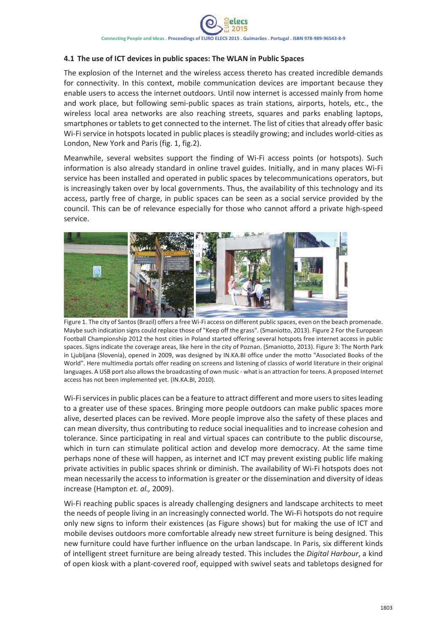#### **4.1 The use of ICT devices in public spaces: The WLAN in Public Spaces**

The explosion of the Internet and the wireless access thereto has created incredible demands for connectivity. In this context, mobile communication devices are important because they enable users to access the internet outdoors. Until now internet is accessed mainly from home and work place, but following semi-public spaces as train stations, airports, hotels, etc., the wireless local area networks are also reaching streets, squares and parks enabling laptops, smartphones or tablets to get connected to the internet. The list of cities that already offer basic Wi-Fi service in hotspots located in public places is steadily growing; and includes world-cities as London, New York and Paris (fig. 1, fig.2).

Meanwhile, several websites support the finding of Wi-Fi access points (or hotspots). Such information is also already standard in online travel guides. Initially, and in many places Wi-Fi service has been installed and operated in public spaces by telecommunications operators, but is increasingly taken over by local governments. Thus, the availability of this technology and its access, partly free of charge, in public spaces can be seen as a social service provided by the council. This can be of relevance especially for those who cannot afford a private high-speed service.



Figure 1. The city of Santos (Brazil) offers a free Wi-Fi access on different public spaces, even on the beach promenade. Maybe such indication signs could replace those of "Keep off the grass". (Smaniotto, 2013). Figure 2 For the European Football Championship 2012 the host cities in Poland started offering several hotspots free internet access in public spaces. Signs indicate the coverage areas, like here in the city of Poznan. (Smaniotto, 2013). Figure 3: The North Park in Ljubljana (Slovenia), opened in 2009, was designed by IN.KA.BI office under the motto "Associated Books of the World". Here multimedia portals offer reading on screens and listening of classics of world literature in their original languages. A USB port also allows the broadcasting of own music - what is an attraction for teens. A proposed Internet access has not been implemented yet. (IN.KA.BI, 2010).

Wi-Fi services in public places can be a feature to attract different and more users to sites leading to a greater use of these spaces. Bringing more people outdoors can make public spaces more alive, deserted places can be revived. More people improve also the safety of these places and can mean diversity, thus contributing to reduce social inequalities and to increase cohesion and tolerance. Since participating in real and virtual spaces can contribute to the public discourse, which in turn can stimulate political action and develop more democracy. At the same time perhaps none of these will happen, as internet and ICT may prevent existing public life making private activities in public spaces shrink or diminish. The availability of Wi-Fi hotspots does not mean necessarily the access to information is greater or the dissemination and diversity of ideas increase (Hampton *et. al.,* 2009).

Wi-Fi reaching public spaces is already challenging designers and landscape architects to meet the needs of people living in an increasingly connected world. The Wi-Fi hotspots do not require only new signs to inform their existences (as Figure shows) but for making the use of ICT and mobile devises outdoors more comfortable already new street furniture is being designed. This new furniture could have further influence on the urban landscape. In Paris, six different kinds of intelligent street furniture are being already tested. This includes the *Digital Harbour*, a kind of open kiosk with a plant-covered roof, equipped with swivel seats and tabletops designed for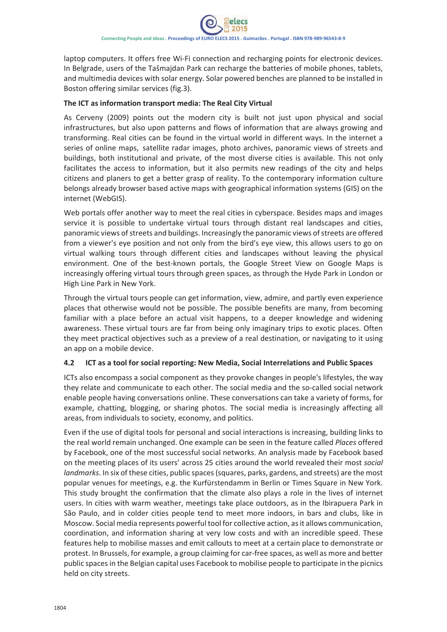laptop computers. It offers free Wi-Fi connection and recharging points for electronic devices. In Belgrade, users of the Tašmajdan Park can recharge the batteries of mobile phones, tablets, and multimedia devices with solar energy. Solar powered benches are planned to be installed in Boston offering similar services (fig.3).

#### **The ICT as information transport media: The Real City Virtual**

As Cerveny (2009) points out the modern city is built not just upon physical and social infrastructures, but also upon patterns and flows of information that are always growing and transforming. Real cities can be found in the virtual world in different ways. In the internet a series of online maps, satellite radar images, photo archives, panoramic views of streets and buildings, both institutional and private, of the most diverse cities is available. This not only facilitates the access to information, but it also permits new readings of the city and helps citizens and planers to get a better grasp of reality. To the contemporary information culture belongs already browser based active maps with geographical information systems (GIS) on the internet (WebGIS).

Web portals offer another way to meet the real cities in cyberspace. Besides maps and images service it is possible to undertake virtual tours through distant real landscapes and cities, panoramic views of streets and buildings. Increasingly the panoramic views of streets are offered from a viewer's eye position and not only from the bird's eye view, this allows users to go on virtual walking tours through different cities and landscapes without leaving the physical environment. One of the best-known portals, the Google Street View on Google Maps is increasingly offering virtual tours through green spaces, as through the Hyde Park in London or High Line Park in New York.

Through the virtual tours people can get information, view, admire, and partly even experience places that otherwise would not be possible. The possible benefits are many, from becoming familiar with a place before an actual visit happens, to a deeper knowledge and widening awareness. These virtual tours are far from being only imaginary trips to exotic places. Often they meet practical objectives such as a preview of a real destination, or navigating to it using an app on a mobile device.

#### **4.2 ICT as a tool for social reporting: New Media, Social Interrelations and Public Spaces**

ICTs also encompass a social component as they provoke changes in people's lifestyles, the way they relate and communicate to each other. The social media and the so-called social network enable people having conversations online. These conversations can take a variety of forms, for example, chatting, blogging, or sharing photos. The social media is increasingly affecting all areas, from individuals to society, economy, and politics.

Even if the use of digital tools for personal and social interactions is increasing, building links to the real world remain unchanged. One example can be seen in the feature called *Places* offered by Facebook, one of the most successful social networks. An analysis made by Facebook based on the meeting places of its users' across 25 cities around the world revealed their most *social landmarks*. In six of these cities, public spaces(squares, parks, gardens, and streets) are the most popular venues for meetings, e.g. the Kurfürstendamm in Berlin or Times Square in New York. This study brought the confirmation that the climate also plays a role in the lives of internet users. In cities with warm weather, meetings take place outdoors, as in the Ibirapuera Park in São Paulo, and in colder cities people tend to meet more indoors, in bars and clubs, like in Moscow. Social media represents powerful tool for collective action, as it allows communication, coordination, and information sharing at very low costs and with an incredible speed. These features help to mobilise masses and emit callouts to meet at a certain place to demonstrate or protest. In Brussels, for example, a group claiming for car-free spaces, as well as more and better public spacesin the Belgian capital uses Facebook to mobilise people to participate in the picnics held on city streets.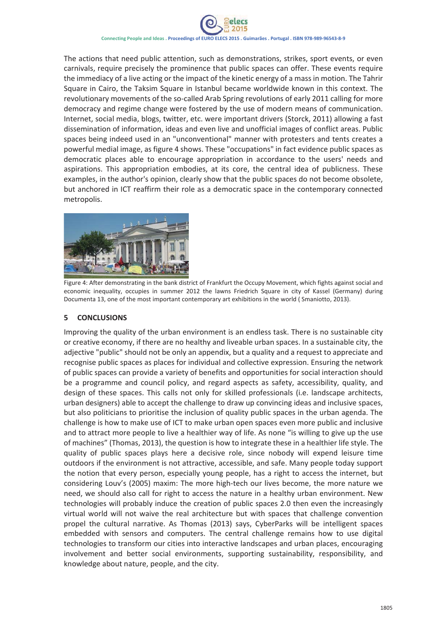Connecting People and Ideas . Proceedings of EURO ELECS 2015 . Guimarães . Portugal . ISBN 978-989-96543-8-9

The actions that need public attention, such as demonstrations, strikes, sport events, or even carnivals, require precisely the prominence that public spaces can offer. These events require the immediacy of a live acting or the impact of the kinetic energy of a mass in motion. The Tahrir Square in Cairo, the Taksim Square in Istanbul became worldwide known in this context. The revolutionary movements of the so-called Arab Spring revolutions of early 2011 calling for more democracy and regime change were fostered by the use of modern means of communication. Internet, social media, blogs, twitter, etc. were important drivers (Storck, 2011) allowing a fast dissemination of information, ideas and even live and unofficial images of conflict areas. Public spaces being indeed used in an "unconventional" manner with protesters and tents creates a powerful medial image, as figure 4 shows. These "occupations" in fact evidence public spaces as democratic places able to encourage appropriation in accordance to the users' needs and aspirations. This appropriation embodies, at its core, the central idea of publicness. These examples, in the author's opinion, clearly show that the public spaces do not become obsolete, but anchored in ICT reaffirm their role as a democratic space in the contemporary connected metropolis.



Figure 4: After demonstrating in the bank district of Frankfurt the Occupy Movement, which fights against social and economic inequality, occupies in summer 2012 the lawns Friedrich Square in city of Kassel (Germany) during Documenta 13, one of the most important contemporary art exhibitions in the world ( Smaniotto, 2013).

## **5 CONCLUSIONS**

Improving the quality of the urban environment is an endless task. There is no sustainable city or creative economy, if there are no healthy and liveable urban spaces. In a sustainable city, the adjective "public" should not be only an appendix, but a quality and a request to appreciate and recognise public spaces as places for individual and collective expression. Ensuring the network of public spaces can provide a variety of benefits and opportunities for social interaction should be a programme and council policy, and regard aspects as safety, accessibility, quality, and design of these spaces. This calls not only for skilled professionals (i.e. landscape architects, urban designers) able to accept the challenge to draw up convincing ideas and inclusive spaces, but also politicians to prioritise the inclusion of quality public spaces in the urban agenda. The challenge is how to make use of ICT to make urban open spaces even more public and inclusive and to attract more people to live a healthier way of life. As none "is willing to give up the use of machines" (Thomas, 2013), the question is how to integrate these in a healthier life style. The quality of public spaces plays here a decisive role, since nobody will expend leisure time outdoors if the environment is not attractive, accessible, and safe. Many people today support the notion that every person, especially young people, has a right to access the internet, but considering Louv's (2005) maxim: The more high-tech our lives become, the more nature we need, we should also call for right to access the nature in a healthy urban environment. New technologies will probably induce the creation of public spaces 2.0 then even the increasingly virtual world will not waive the real architecture but with spaces that challenge convention propel the cultural narrative. As Thomas (2013) says, CyberParks will be intelligent spaces embedded with sensors and computers. The central challenge remains how to use digital technologies to transform our cities into interactive landscapes and urban places, encouraging involvement and better social environments, supporting sustainability, responsibility, and knowledge about nature, people, and the city.